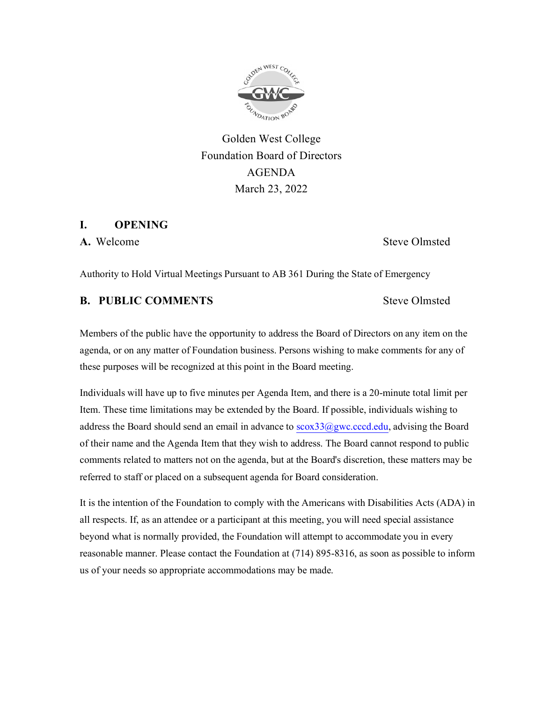

Golden West College Foundation Board of Directors AGENDA March 23, 2022

#### **I. OPENING**

**A.** Welcome Steve Olmsted

Authority to Hold Virtual Meetings Pursuant to AB 361 During the State of Emergency

## **B. PUBLIC COMMENTS** Steve Olmsted

Members of the public have the opportunity to address the Board of Directors on any item on the agenda, or on any matter of Foundation business. Persons wishing to make comments for any of these purposes will be recognized at this point in the Board meeting.

Individuals will have up to five minutes per Agenda Item, and there is a 20-minute total limit per Item. These time limitations may be extended by the Board. If possible, individuals wishing to address the Board should send an email in advance to  $scox33$ @gwc.cccd.edu, advising the Board of their name and the Agenda Item that they wish to address. The Board cannot respond to public comments related to matters not on the agenda, but at the Board's discretion, these matters may be referred to staff or placed on a subsequent agenda for Board consideration.

It is the intention of the Foundation to comply with the Americans with Disabilities Acts (ADA) in all respects. If, as an attendee or a participant at this meeting, you will need special assistance beyond what is normally provided, the Foundation will attempt to accommodate you in every reasonable manner. Please contact the Foundation at (714) 895-8316, as soon as possible to inform us of your needs so appropriate accommodations may be made.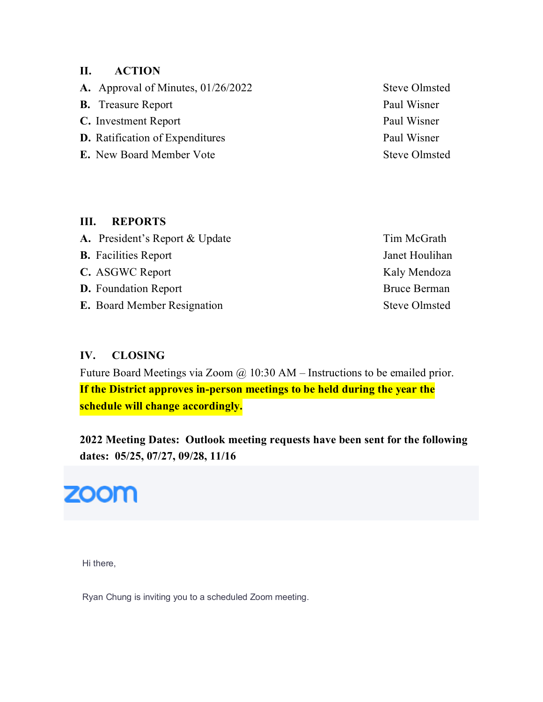## **II. ACTION**

A. Approval of Minutes, 01/26/2022 Steve Olmsted

- **B.** Treasure Report Paul Wisner
- **C.** Investment Report Paul Wisner
- **D.** Ratification of Expenditures Paul Wisner
- **E.** New Board Member Vote Steve Olmsted
- 

### **III. REPORTS**

| A. President's Report & Update     | Tim McGrath          |
|------------------------------------|----------------------|
| <b>B.</b> Facilities Report        | Janet Houlihan       |
| C. ASGWC Report                    | Kaly Mendoza         |
| <b>D.</b> Foundation Report        | <b>Bruce Berman</b>  |
| <b>E.</b> Board Member Resignation | <b>Steve Olmsted</b> |

# **IV. CLOSING**

Future Board Meetings via Zoom @ 10:30 AM – Instructions to be emailed prior. **If the District approves in-person meetings to be held during the year the schedule will change accordingly.**

**2022 Meeting Dates: Outlook meeting requests have been sent for the following dates: 05/25, 07/27, 09/28, 11/16**



Hi there,

Ryan Chung is inviting you to a scheduled Zoom meeting.